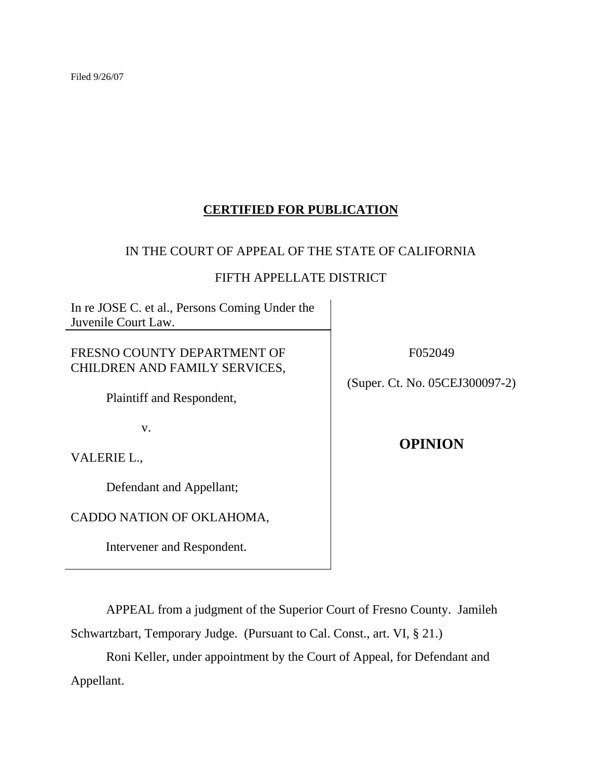Filed 9/26/07

# **CERTIFIED FOR PUBLICATION**

## IN THE COURT OF APPEAL OF THE STATE OF CALIFORNIA

## FIFTH APPELLATE DISTRICT

In re JOSE C. et al., Persons Coming Under the Juvenile Court Law.

FRESNO COUNTY DEPARTMENT OF CHILDREN AND FAMILY SERVICES,

Plaintiff and Respondent,

v.

VALERIE L.,

Defendant and Appellant;

CADDO NATION OF OKLAHOMA,

Intervener and Respondent.

F052049

(Super. Ct. No. 05CEJ300097-2)

**OPINION**

 APPEAL from a judgment of the Superior Court of Fresno County. Jamileh Schwartzbart, Temporary Judge. (Pursuant to Cal. Const., art. VI, § 21.)

 Roni Keller, under appointment by the Court of Appeal, for Defendant and Appellant.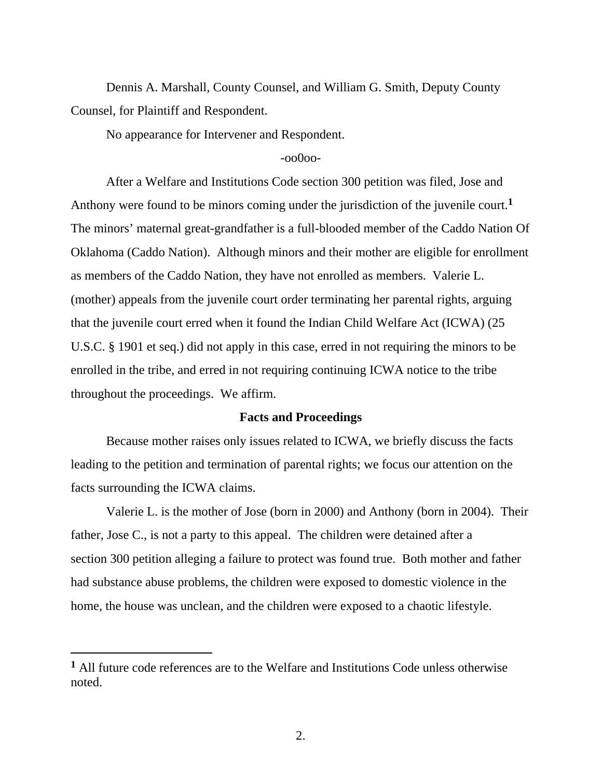Dennis A. Marshall, County Counsel, and William G. Smith, Deputy County Counsel, for Plaintiff and Respondent.

No appearance for Intervener and Respondent.

### -oo0oo-

 After a Welfare and Institutions Code section 300 petition was filed, Jose and Anthony were found to be minors coming under the jurisdiction of the juvenile court.**<sup>1</sup>** The minors' maternal great-grandfather is a full-blooded member of the Caddo Nation Of Oklahoma (Caddo Nation). Although minors and their mother are eligible for enrollment as members of the Caddo Nation, they have not enrolled as members. Valerie L. (mother) appeals from the juvenile court order terminating her parental rights, arguing that the juvenile court erred when it found the Indian Child Welfare Act (ICWA) (25 U.S.C. § 1901 et seq.) did not apply in this case, erred in not requiring the minors to be enrolled in the tribe, and erred in not requiring continuing ICWA notice to the tribe throughout the proceedings. We affirm.

#### **Facts and Proceedings**

 Because mother raises only issues related to ICWA, we briefly discuss the facts leading to the petition and termination of parental rights; we focus our attention on the facts surrounding the ICWA claims.

 Valerie L. is the mother of Jose (born in 2000) and Anthony (born in 2004). Their father, Jose C., is not a party to this appeal. The children were detained after a section 300 petition alleging a failure to protect was found true. Both mother and father had substance abuse problems, the children were exposed to domestic violence in the home, the house was unclean, and the children were exposed to a chaotic lifestyle.

 $\overline{a}$ 

**<sup>1</sup>** All future code references are to the Welfare and Institutions Code unless otherwise noted.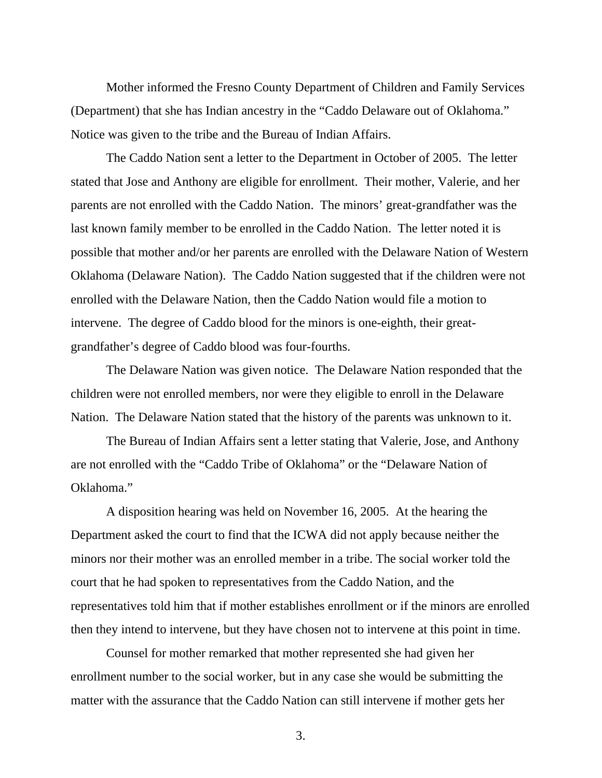Mother informed the Fresno County Department of Children and Family Services (Department) that she has Indian ancestry in the "Caddo Delaware out of Oklahoma." Notice was given to the tribe and the Bureau of Indian Affairs.

 The Caddo Nation sent a letter to the Department in October of 2005. The letter stated that Jose and Anthony are eligible for enrollment. Their mother, Valerie, and her parents are not enrolled with the Caddo Nation. The minors' great-grandfather was the last known family member to be enrolled in the Caddo Nation. The letter noted it is possible that mother and/or her parents are enrolled with the Delaware Nation of Western Oklahoma (Delaware Nation). The Caddo Nation suggested that if the children were not enrolled with the Delaware Nation, then the Caddo Nation would file a motion to intervene. The degree of Caddo blood for the minors is one-eighth, their greatgrandfather's degree of Caddo blood was four-fourths.

 The Delaware Nation was given notice. The Delaware Nation responded that the children were not enrolled members, nor were they eligible to enroll in the Delaware Nation. The Delaware Nation stated that the history of the parents was unknown to it.

 The Bureau of Indian Affairs sent a letter stating that Valerie, Jose, and Anthony are not enrolled with the "Caddo Tribe of Oklahoma" or the "Delaware Nation of Oklahoma."

 A disposition hearing was held on November 16, 2005. At the hearing the Department asked the court to find that the ICWA did not apply because neither the minors nor their mother was an enrolled member in a tribe. The social worker told the court that he had spoken to representatives from the Caddo Nation, and the representatives told him that if mother establishes enrollment or if the minors are enrolled then they intend to intervene, but they have chosen not to intervene at this point in time.

 Counsel for mother remarked that mother represented she had given her enrollment number to the social worker, but in any case she would be submitting the matter with the assurance that the Caddo Nation can still intervene if mother gets her

3.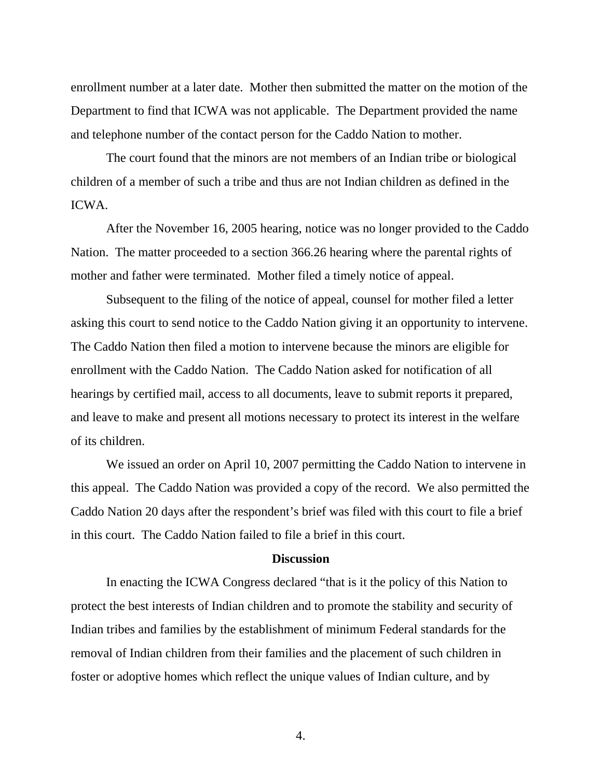enrollment number at a later date. Mother then submitted the matter on the motion of the Department to find that ICWA was not applicable. The Department provided the name and telephone number of the contact person for the Caddo Nation to mother.

 The court found that the minors are not members of an Indian tribe or biological children of a member of such a tribe and thus are not Indian children as defined in the ICWA.

 After the November 16, 2005 hearing, notice was no longer provided to the Caddo Nation. The matter proceeded to a section 366.26 hearing where the parental rights of mother and father were terminated. Mother filed a timely notice of appeal.

 Subsequent to the filing of the notice of appeal, counsel for mother filed a letter asking this court to send notice to the Caddo Nation giving it an opportunity to intervene. The Caddo Nation then filed a motion to intervene because the minors are eligible for enrollment with the Caddo Nation. The Caddo Nation asked for notification of all hearings by certified mail, access to all documents, leave to submit reports it prepared, and leave to make and present all motions necessary to protect its interest in the welfare of its children.

 We issued an order on April 10, 2007 permitting the Caddo Nation to intervene in this appeal. The Caddo Nation was provided a copy of the record. We also permitted the Caddo Nation 20 days after the respondent's brief was filed with this court to file a brief in this court. The Caddo Nation failed to file a brief in this court.

### **Discussion**

 In enacting the ICWA Congress declared "that is it the policy of this Nation to protect the best interests of Indian children and to promote the stability and security of Indian tribes and families by the establishment of minimum Federal standards for the removal of Indian children from their families and the placement of such children in foster or adoptive homes which reflect the unique values of Indian culture, and by

4.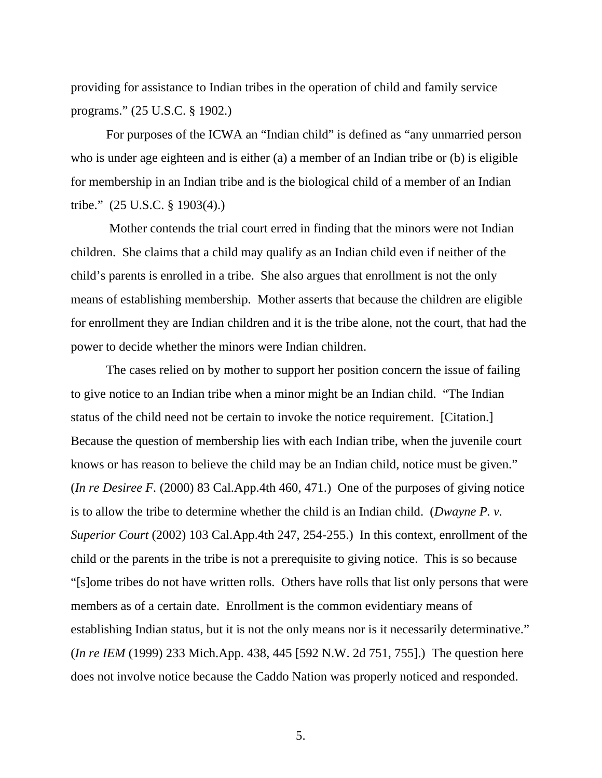providing for assistance to Indian tribes in the operation of child and family service programs." (25 U.S.C. § 1902.)

 For purposes of the ICWA an "Indian child" is defined as "any unmarried person who is under age eighteen and is either (a) a member of an Indian tribe or (b) is eligible for membership in an Indian tribe and is the biological child of a member of an Indian tribe." (25 U.S.C. § 1903(4).)

 Mother contends the trial court erred in finding that the minors were not Indian children. She claims that a child may qualify as an Indian child even if neither of the child's parents is enrolled in a tribe. She also argues that enrollment is not the only means of establishing membership. Mother asserts that because the children are eligible for enrollment they are Indian children and it is the tribe alone, not the court, that had the power to decide whether the minors were Indian children.

 The cases relied on by mother to support her position concern the issue of failing to give notice to an Indian tribe when a minor might be an Indian child. "The Indian status of the child need not be certain to invoke the notice requirement. [Citation.] Because the question of membership lies with each Indian tribe, when the juvenile court knows or has reason to believe the child may be an Indian child, notice must be given." (*In re Desiree F.* (2000) 83 Cal.App.4th 460, 471.) One of the purposes of giving notice is to allow the tribe to determine whether the child is an Indian child. (*Dwayne P. v. Superior Court* (2002) 103 Cal.App.4th 247, 254-255.) In this context, enrollment of the child or the parents in the tribe is not a prerequisite to giving notice. This is so because "[s]ome tribes do not have written rolls. Others have rolls that list only persons that were members as of a certain date. Enrollment is the common evidentiary means of establishing Indian status, but it is not the only means nor is it necessarily determinative." (*In re IEM* (1999) 233 Mich.App. 438, 445 [592 N.W. 2d 751, 755].) The question here does not involve notice because the Caddo Nation was properly noticed and responded.

5.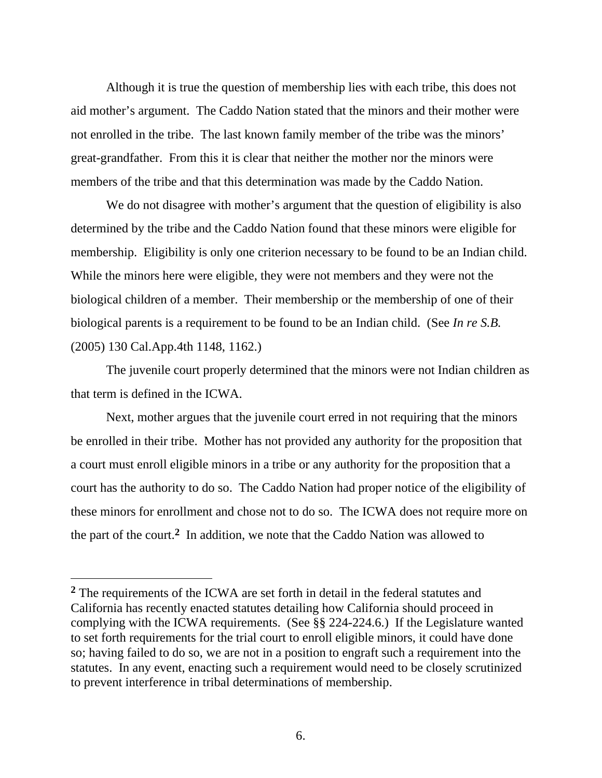Although it is true the question of membership lies with each tribe, this does not aid mother's argument. The Caddo Nation stated that the minors and their mother were not enrolled in the tribe. The last known family member of the tribe was the minors' great-grandfather. From this it is clear that neither the mother nor the minors were members of the tribe and that this determination was made by the Caddo Nation.

We do not disagree with mother's argument that the question of eligibility is also determined by the tribe and the Caddo Nation found that these minors were eligible for membership. Eligibility is only one criterion necessary to be found to be an Indian child. While the minors here were eligible, they were not members and they were not the biological children of a member. Their membership or the membership of one of their biological parents is a requirement to be found to be an Indian child. (See *In re S.B.*  (2005) 130 Cal.App.4th 1148, 1162.)

 The juvenile court properly determined that the minors were not Indian children as that term is defined in the ICWA.

 Next, mother argues that the juvenile court erred in not requiring that the minors be enrolled in their tribe. Mother has not provided any authority for the proposition that a court must enroll eligible minors in a tribe or any authority for the proposition that a court has the authority to do so. The Caddo Nation had proper notice of the eligibility of these minors for enrollment and chose not to do so. The ICWA does not require more on the part of the court.**2** In addition, we note that the Caddo Nation was allowed to

 $\overline{a}$ 

**<sup>2</sup>** The requirements of the ICWA are set forth in detail in the federal statutes and California has recently enacted statutes detailing how California should proceed in complying with the ICWA requirements. (See §§ 224-224.6.) If the Legislature wanted to set forth requirements for the trial court to enroll eligible minors, it could have done so; having failed to do so, we are not in a position to engraft such a requirement into the statutes. In any event, enacting such a requirement would need to be closely scrutinized to prevent interference in tribal determinations of membership.